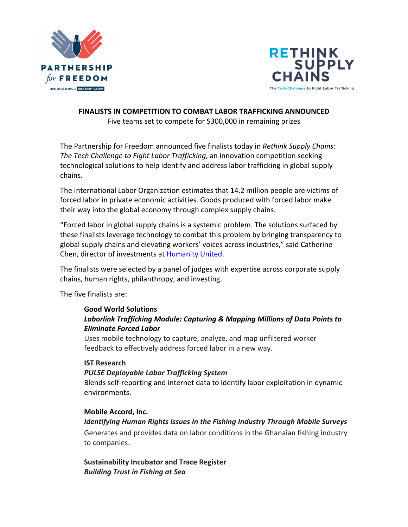



#### **FINALISTS IN COMPETITION TO COMBAT LABOR TRAFFICKING ANNOUNCED**

Five teams set to compete for \$300,000 in remaining prizes

The Partnership for Freedom announced five finalists today in *Rethink Supply Chains: The Tech Challenge to Fight Labor Trafficking*, an innovation competition seeking technological solutions to help identify and address labor trafficking in global supply chains. 

The International Labor Organization estimates that 14.2 million people are victims of forced labor in private economic activities. Goods produced with forced labor make their way into the global economy through complex supply chains.

"Forced labor in global supply chains is a systemic problem. The solutions surfaced by these finalists leverage technology to combat this problem by bringing transparency to global supply chains and elevating workers' voices across industries," said Catherine Chen, director of investments at Humanity United.

The finalists were selected by a panel of judges with expertise across corporate supply chains, human rights, philanthropy, and investing.

The five finalists are:

#### **Good World Solutions** Laborlink Trafficking Module: Capturing & Mapping Millions of Data Points to *Eliminate Forced Labor*

Uses mobile technology to capture, analyze, and map unfiltered worker feedback to effectively address forced labor in a new way.

#### **IST Research**

#### **PULSE Deployable Labor Trafficking System**

Blends self-reporting and internet data to identify labor exploitation in dynamic environments.

#### **Mobile Accord, Inc.**

#### *Identifying Human Rights Issues In the Fishing Industry Through Mobile Surveys*

Generates and provides data on labor conditions in the Ghanaian fishing industry to companies.

**Sustainability Incubator and Trace Register** *Building Trust in Fishing at Sea*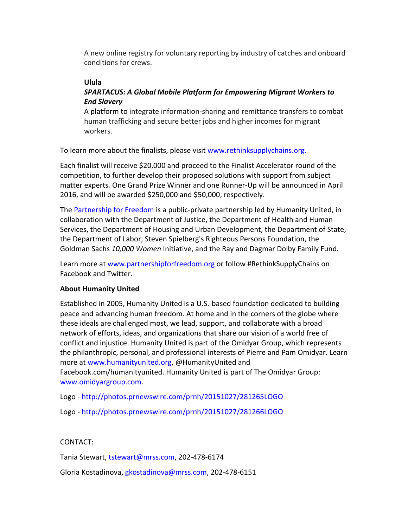A new online registry for voluntary reporting by industry of catches and onboard conditions for crews.

# **Ulula**

# **SPARTACUS: A Global Mobile Platform for Empowering Migrant Workers to** *End Slavery*

A platform to integrate information-sharing and remittance transfers to combat human trafficking and secure better jobs and higher incomes for migrant workers.

To learn more about the finalists, please visit www.rethinksupplychains.org.

Each finalist will receive \$20,000 and proceed to the Finalist Accelerator round of the competition, to further develop their proposed solutions with support from subject matter experts. One Grand Prize Winner and one Runner-Up will be announced in April 2016, and will be awarded \$250,000 and \$50,000, respectively.

The Partnership for Freedom is a public-private partnership led by Humanity United, in collaboration with the Department of Justice, the Department of Health and Human Services, the Department of Housing and Urban Development, the Department of State, the Department of Labor, Steven Spielberg's Righteous Persons Foundation, the Goldman Sachs 10,000 Women Initiative, and the Ray and Dagmar Dolby Family Fund.

Learn more at www.partnershipforfreedom.org or follow #RethinkSupplyChains on Facebook and Twitter.

## **About Humanity United**

Established in 2005, Humanity United is a U.S.-based foundation dedicated to building peace and advancing human freedom. At home and in the corners of the globe where these ideals are challenged most, we lead, support, and collaborate with a broad network of efforts, ideas, and organizations that share our vision of a world free of conflict and injustice. Humanity United is part of the Omidyar Group, which represents the philanthropic, personal, and professional interests of Pierre and Pam Omidyar. Learn more at www.humanityunited.org, @HumanityUnited and Facebook.com/humanityunited. Humanity United is part of The Omidyar Group: www.omidyargroup.com.

Logo - http://photos.prnewswire.com/prnh/20151027/281265LOGO

Logo - http://photos.prnewswire.com/prnh/20151027/281266LOGO

## CONTACT:

Tania Stewart, tstewart@mrss.com, 202-478-6174

Gloria Kostadinova, gkostadinova@mrss.com, 202-478-6151